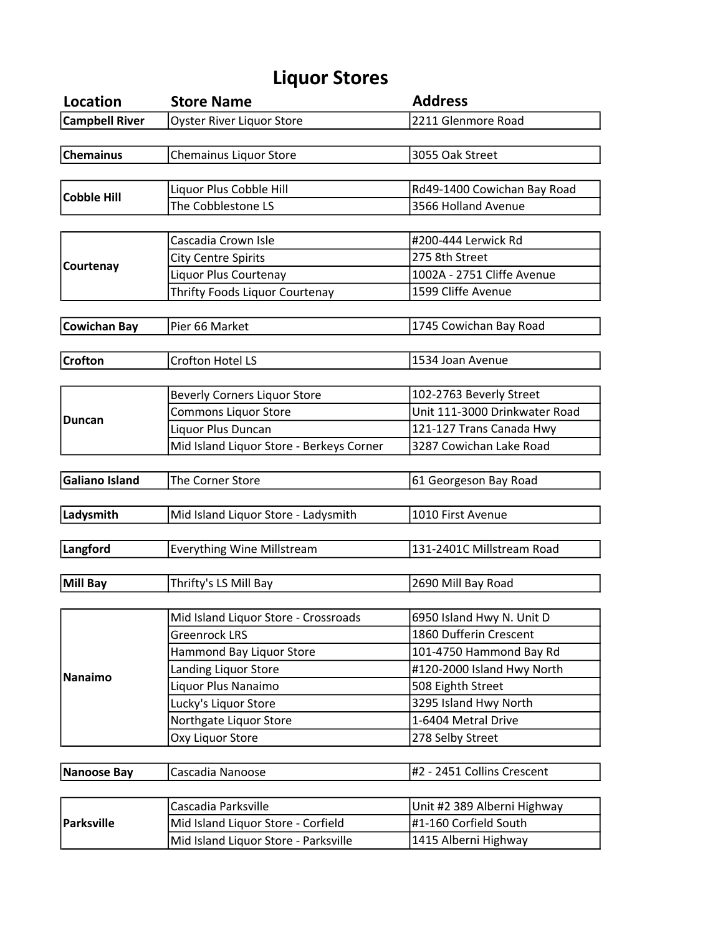## Liquor Stores

| Location              | <b>Store Name</b>                        | <b>Address</b>                |
|-----------------------|------------------------------------------|-------------------------------|
| <b>Campbell River</b> | <b>Oyster River Liquor Store</b>         | 2211 Glenmore Road            |
|                       |                                          |                               |
| <b>Chemainus</b>      | Chemainus Liquor Store                   | 3055 Oak Street               |
|                       |                                          |                               |
| <b>Cobble Hill</b>    | Liquor Plus Cobble Hill                  | Rd49-1400 Cowichan Bay Road   |
|                       | The Cobblestone LS                       | 3566 Holland Avenue           |
|                       |                                          |                               |
| Courtenay             | Cascadia Crown Isle                      | #200-444 Lerwick Rd           |
|                       | <b>City Centre Spirits</b>               | 275 8th Street                |
|                       | Liquor Plus Courtenay                    | 1002A - 2751 Cliffe Avenue    |
|                       | Thrifty Foods Liquor Courtenay           | 1599 Cliffe Avenue            |
|                       |                                          |                               |
| <b>Cowichan Bay</b>   | Pier 66 Market                           | 1745 Cowichan Bay Road        |
|                       |                                          |                               |
| <b>Crofton</b>        | Crofton Hotel LS                         | 1534 Joan Avenue              |
|                       |                                          |                               |
| <b>Duncan</b>         | <b>Beverly Corners Liquor Store</b>      | 102-2763 Beverly Street       |
|                       | <b>Commons Liquor Store</b>              | Unit 111-3000 Drinkwater Road |
|                       | Liquor Plus Duncan                       | 121-127 Trans Canada Hwy      |
|                       | Mid Island Liquor Store - Berkeys Corner | 3287 Cowichan Lake Road       |
|                       |                                          |                               |
| <b>Galiano Island</b> | The Corner Store                         | 61 Georgeson Bay Road         |
|                       |                                          |                               |
| Ladysmith             | Mid Island Liquor Store - Ladysmith      | 1010 First Avenue             |
|                       |                                          |                               |
| Langford              | <b>Everything Wine Millstream</b>        | 131-2401C Millstream Road     |
|                       |                                          |                               |
| <b>Mill Bay</b>       | Thrifty's LS Mill Bay                    | 2690 Mill Bay Road            |
|                       |                                          |                               |
| <b>Nanaimo</b>        | Mid Island Liquor Store - Crossroads     | 6950 Island Hwy N. Unit D     |
|                       | <b>Greenrock LRS</b>                     | 1860 Dufferin Crescent        |
|                       | Hammond Bay Liquor Store                 | 101-4750 Hammond Bay Rd       |
|                       | Landing Liquor Store                     | #120-2000 Island Hwy North    |
|                       | Liquor Plus Nanaimo                      | 508 Eighth Street             |
|                       | Lucky's Liquor Store                     | 3295 Island Hwy North         |
|                       | Northgate Liquor Store                   | 1-6404 Metral Drive           |
|                       | Oxy Liquor Store                         | 278 Selby Street              |
|                       |                                          |                               |
| <b>Nanoose Bay</b>    | Cascadia Nanoose                         | #2 - 2451 Collins Crescent    |
|                       |                                          |                               |
| <b>Parksville</b>     | Cascadia Parksville                      | Unit #2 389 Alberni Highway   |
|                       | Mid Island Liquor Store - Corfield       | #1-160 Corfield South         |
|                       | Mid Island Liquor Store - Parksville     | 1415 Alberni Highway          |